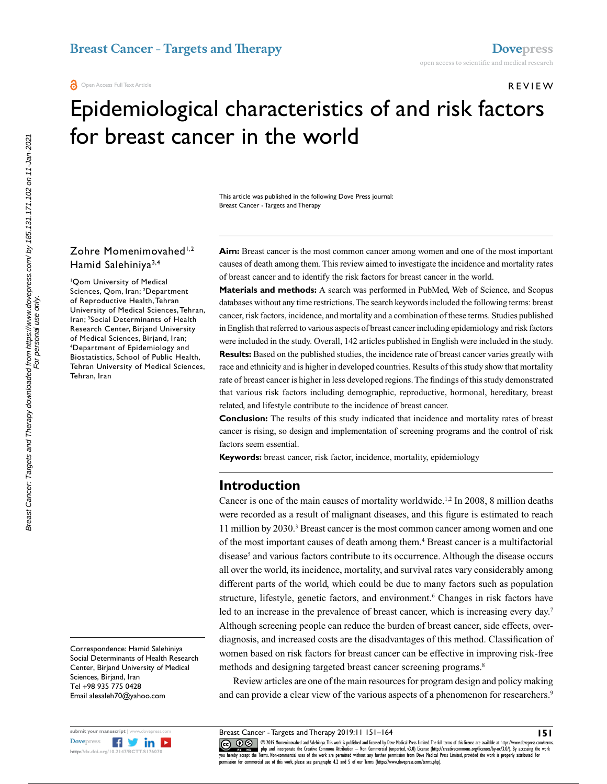Review

# Epidemiological characteristics of and risk factors for breast cancer in the world

This article was published in the following Dove Press journal: Breast Cancer - Targets and Therapy

## Zohre Momenimovahed<sup>1,2</sup> Hamid Salehiniya3,4

1 Qom University of Medical Sciences, Qom, Iran; 2 Department of Reproductive Health, Tehran University of Medical Sciences, Tehran, Iran; 3 Social Determinants of Health Research Center, Birjand University of Medical Sciences, Birjand, Iran; 4 Department of Epidemiology and Biostatistics, School of Public Health, Tehran University of Medical Sciences, Tehran, Iran

Correspondence: Hamid Salehiniya Social Determinants of Health Research Center, Birjand University of Medical Sciences, Birjand, Iran Tel +98 935 775 0428 Email alesaleh70@yahoo.com



**Aim:** Breast cancer is the most common cancer among women and one of the most important causes of death among them. This review aimed to investigate the incidence and mortality rates of breast cancer and to identify the risk factors for breast cancer in the world.

**Materials and methods:** A search was performed in PubMed, Web of Science, and Scopus databases without any time restrictions. The search keywords included the following terms: breast cancer, risk factors, incidence, and mortality and a combination of these terms. Studies published in English that referred to various aspects of breast cancer including epidemiology and risk factors were included in the study. Overall, 142 articles published in English were included in the study. **Results:** Based on the published studies, the incidence rate of breast cancer varies greatly with race and ethnicity and is higher in developed countries. Results of this study show that mortality rate of breast cancer is higher in less developed regions. The findings of this study demonstrated that various risk factors including demographic, reproductive, hormonal, hereditary, breast related, and lifestyle contribute to the incidence of breast cancer.

**Conclusion:** The results of this study indicated that incidence and mortality rates of breast cancer is rising, so design and implementation of screening programs and the control of risk factors seem essential.

**Keywords:** breast cancer, risk factor, incidence, mortality, epidemiology

# **Introduction**

Cancer is one of the main causes of mortality worldwide.<sup>1,2</sup> In 2008, 8 million deaths were recorded as a result of malignant diseases, and this figure is estimated to reach 11 million by 2030.<sup>3</sup> Breast cancer is the most common cancer among women and one of the most important causes of death among them.<sup>4</sup> Breast cancer is a multifactorial disease<sup>5</sup> and various factors contribute to its occurrence. Although the disease occurs all over the world, its incidence, mortality, and survival rates vary considerably among different parts of the world, which could be due to many factors such as population structure, lifestyle, genetic factors, and environment.<sup>6</sup> Changes in risk factors have led to an increase in the prevalence of breast cancer, which is increasing every day.<sup>7</sup> Although screening people can reduce the burden of breast cancer, side effects, overdiagnosis, and increased costs are the disadvantages of this method. Classification of women based on risk factors for breast cancer can be effective in improving risk-free methods and designing targeted breast cancer screening programs.<sup>8</sup>

Review articles are one of the main resources for program design and policy making and can provide a clear view of the various aspects of a phenomenon for researchers.<sup>9</sup>

Breast Cancer - Targets and Therapy 2019:11 151–164

CO 19 Momenimovahed and Salehiniya. This work is published and licensed by Dove Medical Press Limited. The full terms of this license are available at https://www.dovepress.com/terms.<br>You hereby accept the Terms. Non-comme permission for commercial use of this work, please see paragraphs 4.2 and 5 of our Terms (https://www.dovepress.com/terms.php).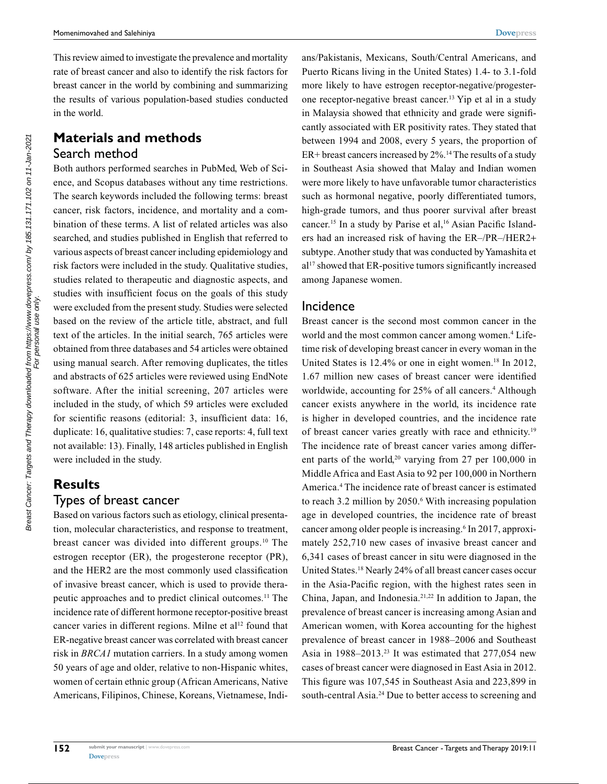**[Dovepress](www.dovepress.com)**

This review aimed to investigate the prevalence and mortality rate of breast cancer and also to identify the risk factors for breast cancer in the world by combining and summarizing the results of various population-based studies conducted in the world.

# **Materials and methods** Search method

Both authors performed searches in PubMed, Web of Science, and Scopus databases without any time restrictions. The search keywords included the following terms: breast cancer, risk factors, incidence, and mortality and a combination of these terms. A list of related articles was also searched, and studies published in English that referred to various aspects of breast cancer including epidemiology and risk factors were included in the study. Qualitative studies, studies related to therapeutic and diagnostic aspects, and studies with insufficient focus on the goals of this study were excluded from the present study. Studies were selected based on the review of the article title, abstract, and full text of the articles. In the initial search, 765 articles were obtained from three databases and 54 articles were obtained using manual search. After removing duplicates, the titles and abstracts of 625 articles were reviewed using EndNote software. After the initial screening, 207 articles were included in the study, of which 59 articles were excluded for scientific reasons (editorial: 3, insufficient data: 16, duplicate: 16, qualitative studies: 7, case reports: 4, full text not available: 13). Finally, 148 articles published in English were included in the study.

# **Results** Types of breast cancer

Based on various factors such as etiology, clinical presentation, molecular characteristics, and response to treatment, breast cancer was divided into different groups.<sup>10</sup> The estrogen receptor (ER), the progesterone receptor (PR), and the HER2 are the most commonly used classification of invasive breast cancer, which is used to provide therapeutic approaches and to predict clinical outcomes.11 The incidence rate of different hormone receptor-positive breast cancer varies in different regions. Milne et al<sup>12</sup> found that ER-negative breast cancer was correlated with breast cancer risk in *BRCA1* mutation carriers. In a study among women 50 years of age and older, relative to non-Hispanic whites, women of certain ethnic group (African Americans, Native Americans, Filipinos, Chinese, Koreans, Vietnamese, Indians/Pakistanis, Mexicans, South/Central Americans, and Puerto Ricans living in the United States) 1.4- to 3.1-fold more likely to have estrogen receptor-negative/progesterone receptor-negative breast cancer.13 Yip et al in a study in Malaysia showed that ethnicity and grade were significantly associated with ER positivity rates. They stated that between 1994 and 2008, every 5 years, the proportion of  $ER+$  breast cancers increased by  $2\%$ .<sup>14</sup> The results of a study in Southeast Asia showed that Malay and Indian women were more likely to have unfavorable tumor characteristics such as hormonal negative, poorly differentiated tumors, high-grade tumors, and thus poorer survival after breast cancer.<sup>15</sup> In a study by Parise et al,<sup>16</sup> Asian Pacific Islanders had an increased risk of having the ER–/PR–/HER2+ subtype. Another study that was conducted by Yamashita et al<sup>17</sup> showed that ER-positive tumors significantly increased among Japanese women.

# Incidence

Breast cancer is the second most common cancer in the world and the most common cancer among women.<sup>4</sup> Lifetime risk of developing breast cancer in every woman in the United States is  $12.4\%$  or one in eight women.<sup>18</sup> In 2012, 1.67 million new cases of breast cancer were identified worldwide, accounting for 25% of all cancers.<sup>4</sup> Although cancer exists anywhere in the world, its incidence rate is higher in developed countries, and the incidence rate of breast cancer varies greatly with race and ethnicity.19 The incidence rate of breast cancer varies among different parts of the world,<sup>20</sup> varying from 27 per 100,000 in Middle Africa and East Asia to 92 per 100,000 in Northern America.4 The incidence rate of breast cancer is estimated to reach 3.2 million by 2050.<sup>6</sup> With increasing population age in developed countries, the incidence rate of breast cancer among older people is increasing.<sup>6</sup> In 2017, approximately 252,710 new cases of invasive breast cancer and 6,341 cases of breast cancer in situ were diagnosed in the United States.18 Nearly 24% of all breast cancer cases occur in the Asia-Pacific region, with the highest rates seen in China, Japan, and Indonesia.21,22 In addition to Japan, the prevalence of breast cancer is increasing among Asian and American women, with Korea accounting for the highest prevalence of breast cancer in 1988–2006 and Southeast Asia in  $1988-2013.^{23}$  It was estimated that  $277,054$  new cases of breast cancer were diagnosed in East Asia in 2012. This figure was 107,545 in Southeast Asia and 223,899 in south-central Asia.<sup>24</sup> Due to better access to screening and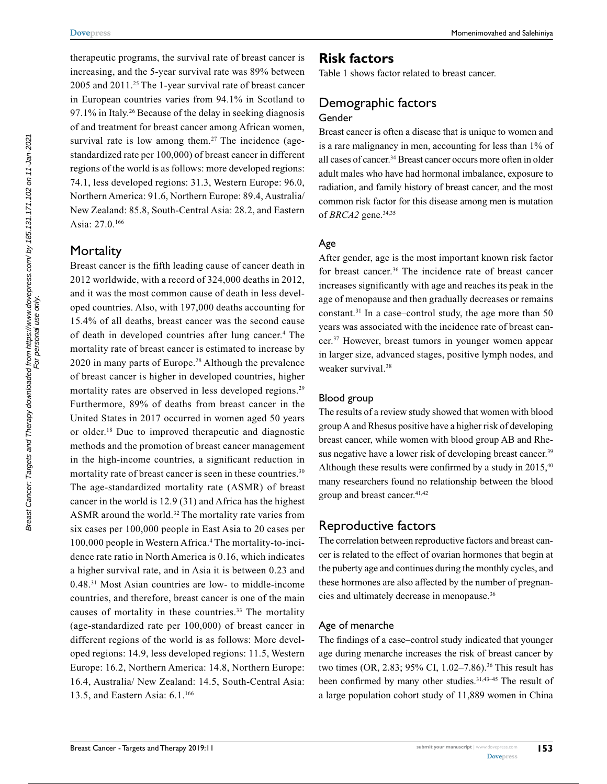therapeutic programs, the survival rate of breast cancer is increasing, and the 5-year survival rate was 89% between 2005 and 2011.25 The 1-year survival rate of breast cancer in European countries varies from 94.1% in Scotland to 97.1% in Italy.<sup>26</sup> Because of the delay in seeking diagnosis of and treatment for breast cancer among African women, survival rate is low among them.<sup>27</sup> The incidence (agestandardized rate per 100,000) of breast cancer in different regions of the world is as follows: more developed regions: 74.1, less developed regions: 31.3, Western Europe: 96.0, Northern America: 91.6, Northern Europe: 89.4, Australia/ New Zealand: 85.8, South-Central Asia: 28.2, and Eastern Asia: 27.0.166

# **Mortality**

Breast cancer is the fifth leading cause of cancer death in 2012 worldwide, with a record of 324,000 deaths in 2012, and it was the most common cause of death in less developed countries. Also, with 197,000 deaths accounting for 15.4% of all deaths, breast cancer was the second cause of death in developed countries after lung cancer.<sup>4</sup> The mortality rate of breast cancer is estimated to increase by 2020 in many parts of Europe.28 Although the prevalence of breast cancer is higher in developed countries, higher mortality rates are observed in less developed regions.<sup>29</sup> Furthermore, 89% of deaths from breast cancer in the United States in 2017 occurred in women aged 50 years or older.18 Due to improved therapeutic and diagnostic methods and the promotion of breast cancer management in the high-income countries, a significant reduction in mortality rate of breast cancer is seen in these countries.<sup>30</sup> The age-standardized mortality rate (ASMR) of breast cancer in the world is 12.9 (31) and Africa has the highest ASMR around the world.<sup>32</sup> The mortality rate varies from six cases per 100,000 people in East Asia to 20 cases per 100,000 people in Western Africa.<sup>4</sup> The mortality-to-incidence rate ratio in North America is 0.16, which indicates a higher survival rate, and in Asia it is between 0.23 and 0.48.31 Most Asian countries are low- to middle-income countries, and therefore, breast cancer is one of the main causes of mortality in these countries.<sup>33</sup> The mortality (age-standardized rate per 100,000) of breast cancer in different regions of the world is as follows: More developed regions: 14.9, less developed regions: 11.5, Western Europe: 16.2, Northern America: 14.8, Northern Europe: 16.4, Australia/ New Zealand: 14.5, South-Central Asia: 13.5, and Eastern Asia: 6.1.166

# **Risk factors**

Table 1 shows factor related to breast cancer.

# Demographic factors Gender

Breast cancer is often a disease that is unique to women and is a rare malignancy in men, accounting for less than 1% of all cases of cancer.34 Breast cancer occurs more often in older adult males who have had hormonal imbalance, exposure to radiation, and family history of breast cancer, and the most common risk factor for this disease among men is mutation of *BRCA2* gene.34,35

## Age

After gender, age is the most important known risk factor for breast cancer.<sup>36</sup> The incidence rate of breast cancer increases significantly with age and reaches its peak in the age of menopause and then gradually decreases or remains constant.<sup>31</sup> In a case–control study, the age more than  $50$ years was associated with the incidence rate of breast cancer.37 However, breast tumors in younger women appear in larger size, advanced stages, positive lymph nodes, and weaker survival.<sup>38</sup>

## Blood group

The results of a review study showed that women with blood group A and Rhesus positive have a higher risk of developing breast cancer, while women with blood group AB and Rhesus negative have a lower risk of developing breast cancer.<sup>39</sup> Although these results were confirmed by a study in 2015,<sup>40</sup> many researchers found no relationship between the blood group and breast cancer.<sup>41,42</sup>

# Reproductive factors

The correlation between reproductive factors and breast cancer is related to the effect of ovarian hormones that begin at the puberty age and continues during the monthly cycles, and these hormones are also affected by the number of pregnancies and ultimately decrease in menopause.36

## Age of menarche

The findings of a case–control study indicated that younger age during menarche increases the risk of breast cancer by two times (OR, 2.83; 95% CI, 1.02–7.86).<sup>36</sup> This result has been confirmed by many other studies.<sup>31,43-45</sup> The result of a large population cohort study of 11,889 women in China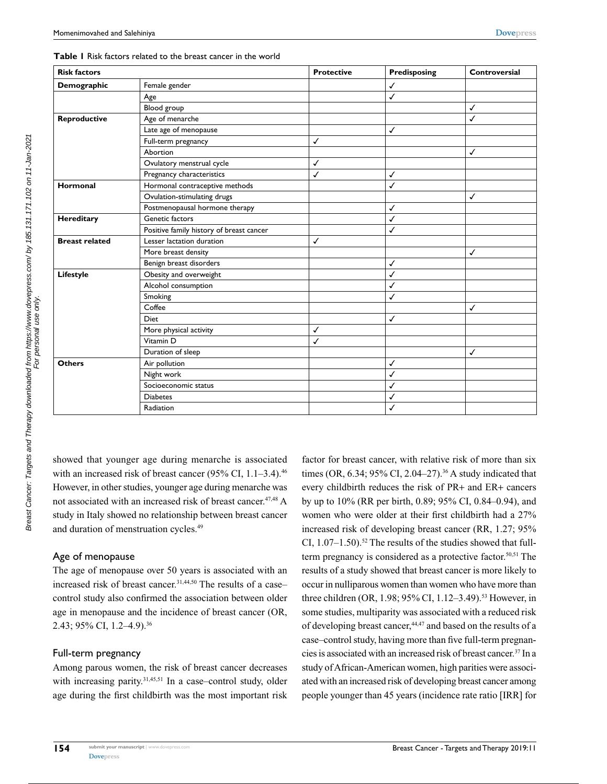#### **Table 1** Risk factors related to the breast cancer in the world

| <b>Risk factors</b>   |                                          | <b>Protective</b> | Predisposing | Controversial |
|-----------------------|------------------------------------------|-------------------|--------------|---------------|
| Demographic           | Female gender                            |                   | ✓            |               |
|                       | Age                                      |                   | ✓            |               |
|                       | Blood group                              |                   |              | ✓             |
| Reproductive          | Age of menarche                          |                   |              | $\checkmark$  |
|                       | Late age of menopause                    |                   | ✓            |               |
|                       | Full-term pregnancy                      | ✓                 |              |               |
|                       | Abortion                                 |                   |              | $\checkmark$  |
|                       | Ovulatory menstrual cycle                | ✓                 |              |               |
|                       | Pregnancy characteristics                | $\checkmark$      | ✓            |               |
| Hormonal              | Hormonal contraceptive methods           |                   | $\checkmark$ |               |
|                       | Ovulation-stimulating drugs              |                   |              | $\checkmark$  |
|                       | Postmenopausal hormone therapy           |                   | ✓            |               |
| Hereditary            | Genetic factors                          |                   | ✓            |               |
|                       | Positive family history of breast cancer |                   | ✓            |               |
| <b>Breast related</b> | Lesser lactation duration                | $\checkmark$      |              |               |
|                       | More breast density                      |                   |              | $\checkmark$  |
|                       | Benign breast disorders                  |                   | ✓            |               |
| Lifestyle             | Obesity and overweight                   |                   | ✓            |               |
|                       | Alcohol consumption                      |                   | ✓            |               |
|                       | Smoking                                  |                   | ✓            |               |
|                       | Coffee                                   |                   |              | ✓             |
|                       | <b>Diet</b>                              |                   | ✓            |               |
|                       | More physical activity                   | √                 |              |               |
|                       | Vitamin D                                | ✓                 |              |               |
|                       | Duration of sleep                        |                   |              | $\checkmark$  |
| <b>Others</b>         | Air pollution                            |                   | ✓            |               |
|                       | Night work                               |                   | ✓            |               |
|                       | Socioeconomic status                     |                   | √            |               |
|                       | <b>Diabetes</b>                          |                   | ✓            |               |
|                       | Radiation                                |                   | ✓            |               |

showed that younger age during menarche is associated with an increased risk of breast cancer (95% CI,  $1.1-3.4$ ).<sup>46</sup> However, in other studies, younger age during menarche was not associated with an increased risk of breast cancer.<sup>47,48</sup> A study in Italy showed no relationship between breast cancer and duration of menstruation cycles.<sup>49</sup>

## Age of menopause

The age of menopause over 50 years is associated with an increased risk of breast cancer.<sup>31,44,50</sup> The results of a case– control study also confirmed the association between older age in menopause and the incidence of breast cancer (OR, 2.43; 95% CI, 1.2–4.9).36

## Full-term pregnancy

Among parous women, the risk of breast cancer decreases with increasing parity.<sup>31,45,51</sup> In a case–control study, older age during the first childbirth was the most important risk

factor for breast cancer, with relative risk of more than six times (OR, 6.34; 95% CI, 2.04-27).<sup>36</sup> A study indicated that every childbirth reduces the risk of PR+ and ER+ cancers by up to 10% (RR per birth, 0.89; 95% CI, 0.84–0.94), and women who were older at their first childbirth had a 27% increased risk of developing breast cancer (RR, 1.27; 95% CI,  $1.07-1.50$ ).<sup>52</sup> The results of the studies showed that fullterm pregnancy is considered as a protective factor.<sup>50,51</sup> The results of a study showed that breast cancer is more likely to occur in nulliparous women than women who have more than three children (OR, 1.98; 95% CI, 1.12–3.49).<sup>53</sup> However, in some studies, multiparity was associated with a reduced risk of developing breast cancer,44,47 and based on the results of a case–control study, having more than five full-term pregnancies is associated with an increased risk of breast cancer.37 In a study of African-American women, high parities were associated with an increased risk of developing breast cancer among people younger than 45 years (incidence rate ratio [IRR] for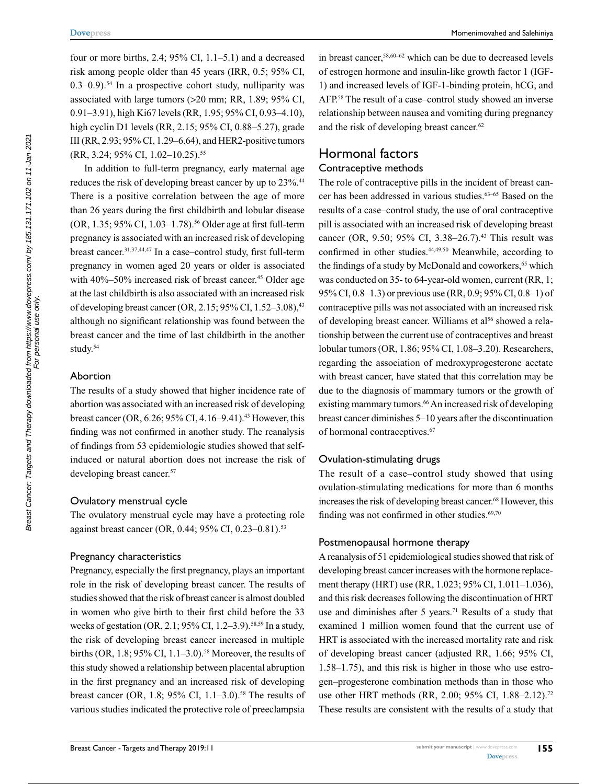four or more births, 2.4;  $95\%$  CI, 1.1–5.1) and a decreased risk among people older than 45 years (IRR, 0.5; 95% CI,  $(0.3-0.9)$ <sup>54</sup> In a prospective cohort study, nulliparity was associated with large tumors (>20 mm; RR, 1.89; 95% CI, 0.91–3.91), high Ki67 levels (RR, 1.95; 95% CI, 0.93–4.10), high cyclin D1 levels (RR, 2.15; 95% CI, 0.88–5.27), grade III (RR, 2.93; 95% CI, 1.29–6.64), and HER2-positive tumors (RR, 3.24; 95% CI, 1.02-10.25).<sup>55</sup>

In addition to full-term pregnancy, early maternal age reduces the risk of developing breast cancer by up to 23%.<sup>44</sup> There is a positive correlation between the age of more than 26 years during the first childbirth and lobular disease (OR, 1.35; 95% CI, 1.03–1.78).<sup>56</sup> Older age at first full-term pregnancy is associated with an increased risk of developing breast cancer.31,37,44,47 In a case–control study, first full-term pregnancy in women aged 20 years or older is associated with  $40\% - 50\%$  increased risk of breast cancer.<sup>45</sup> Older age at the last childbirth is also associated with an increased risk of developing breast cancer (OR, 2.15;  $95\%$  CI, 1.52–3.08), <sup>43</sup> although no significant relationship was found between the breast cancer and the time of last childbirth in the another study.<sup>54</sup>

#### Abortion

The results of a study showed that higher incidence rate of abortion was associated with an increased risk of developing breast cancer (OR,  $6.26$ ;  $95\%$  CI,  $4.16-9.41$ ).<sup>43</sup> However, this finding was not confirmed in another study. The reanalysis of findings from 53 epidemiologic studies showed that selfinduced or natural abortion does not increase the risk of developing breast cancer.<sup>57</sup>

#### Ovulatory menstrual cycle

The ovulatory menstrual cycle may have a protecting role against breast cancer (OR, 0.44; 95% CI, 0.23–0.81).<sup>53</sup>

#### Pregnancy characteristics

Pregnancy, especially the first pregnancy, plays an important role in the risk of developing breast cancer. The results of studies showed that the risk of breast cancer is almost doubled in women who give birth to their first child before the 33 weeks of gestation (OR, 2.1; 95% CI, 1.2–3.9).<sup>58,59</sup> In a study, the risk of developing breast cancer increased in multiple births (OR,  $1.8$ ;  $95\%$  CI,  $1.1-3.0$ ).<sup>58</sup> Moreover, the results of this study showed a relationship between placental abruption in the first pregnancy and an increased risk of developing breast cancer (OR, 1.8; 95% CI, 1.1–3.0).<sup>58</sup> The results of various studies indicated the protective role of preeclampsia

in breast cancer,58,60–62 which can be due to decreased levels of estrogen hormone and insulin-like growth factor 1 (IGF-1) and increased levels of IGF-1-binding protein, hCG, and AFP.58 The result of a case–control study showed an inverse relationship between nausea and vomiting during pregnancy and the risk of developing breast cancer.<sup>62</sup>

# Hormonal factors

#### Contraceptive methods

The role of contraceptive pills in the incident of breast cancer has been addressed in various studies.<sup>63-65</sup> Based on the results of a case–control study, the use of oral contraceptive pill is associated with an increased risk of developing breast cancer (OR, 9.50; 95% CI, 3.38–26.7).<sup>43</sup> This result was confirmed in other studies.<sup>44,49,50</sup> Meanwhile, according to the findings of a study by McDonald and coworkers,<sup>65</sup> which was conducted on 35- to 64-year-old women, current (RR, 1; 95% CI, 0.8–1.3) or previous use (RR, 0.9; 95% CI, 0.8–1) of contraceptive pills was not associated with an increased risk of developing breast cancer. Williams et al<sup>56</sup> showed a relationship between the current use of contraceptives and breast lobular tumors (OR, 1.86; 95% CI, 1.08–3.20). Researchers, regarding the association of medroxyprogesterone acetate with breast cancer, have stated that this correlation may be due to the diagnosis of mammary tumors or the growth of existing mammary tumors.<sup>66</sup> An increased risk of developing breast cancer diminishes 5–10 years after the discontinuation of hormonal contraceptives.<sup>67</sup>

#### Ovulation-stimulating drugs

The result of a case–control study showed that using ovulation-stimulating medications for more than 6 months increases the risk of developing breast cancer.<sup>68</sup> However, this finding was not confirmed in other studies. $69,70$ 

#### Postmenopausal hormone therapy

A reanalysis of 51 epidemiological studies showed that risk of developing breast cancer increases with the hormone replacement therapy (HRT) use (RR, 1.023; 95% CI, 1.011–1.036), and this risk decreases following the discontinuation of HRT use and diminishes after 5 years.<sup>71</sup> Results of a study that examined 1 million women found that the current use of HRT is associated with the increased mortality rate and risk of developing breast cancer (adjusted RR, 1.66; 95% CI, 1.58–1.75), and this risk is higher in those who use estrogen–progesterone combination methods than in those who use other HRT methods (RR, 2.00; 95% CI, 1.88–2.12).<sup>72</sup> These results are consistent with the results of a study that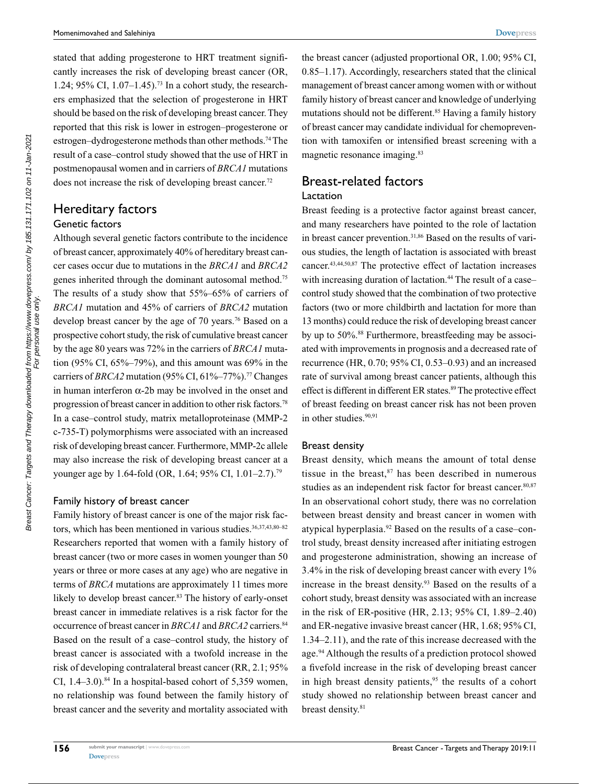stated that adding progesterone to HRT treatment significantly increases the risk of developing breast cancer (OR, 1.24; 95% CI, 1.07–1.45).73 In a cohort study, the researchers emphasized that the selection of progesterone in HRT should be based on the risk of developing breast cancer. They reported that this risk is lower in estrogen–progesterone or estrogen–dydrogesterone methods than other methods.74 The result of a case–control study showed that the use of HRT in postmenopausal women and in carriers of *BRCA1* mutations does not increase the risk of developing breast cancer.<sup>72</sup>

## Hereditary factors Genetic factors

Although several genetic factors contribute to the incidence of breast cancer, approximately 40% of hereditary breast cancer cases occur due to mutations in the *BRCA1* and *BRCA2* genes inherited through the dominant autosomal method.75 The results of a study show that 55%–65% of carriers of *BRCA1* mutation and 45% of carriers of *BRCA2* mutation develop breast cancer by the age of 70 years.<sup>76</sup> Based on a prospective cohort study, the risk of cumulative breast cancer by the age 80 years was 72% in the carriers of *BRCA1* mutation (95% CI, 65%–79%), and this amount was 69% in the carriers of *BRCA2* mutation (95% CI, 61%–77%).<sup>77</sup> Changes in human interferon α-2b may be involved in the onset and progression of breast cancer in addition to other risk factors.78 In a case–control study, matrix metalloproteinase (MMP-2 c-735-T) polymorphisms were associated with an increased risk of developing breast cancer. Furthermore, MMP-2c allele may also increase the risk of developing breast cancer at a younger age by 1.64-fold (OR, 1.64; 95% CI, 1.01–2.7).<sup>79</sup>

## Family history of breast cancer

Family history of breast cancer is one of the major risk factors, which has been mentioned in various studies.<sup>36,37,43,80-82</sup> Researchers reported that women with a family history of breast cancer (two or more cases in women younger than 50 years or three or more cases at any age) who are negative in terms of *BRCA* mutations are approximately 11 times more likely to develop breast cancer.<sup>83</sup> The history of early-onset breast cancer in immediate relatives is a risk factor for the occurrence of breast cancer in *BRCA1* and *BRCA2* carriers.84 Based on the result of a case–control study, the history of breast cancer is associated with a twofold increase in the risk of developing contralateral breast cancer (RR, 2.1; 95% CI,  $1.4-3.0$ ).<sup>84</sup> In a hospital-based cohort of 5,359 women, no relationship was found between the family history of breast cancer and the severity and mortality associated with

the breast cancer (adjusted proportional OR, 1.00; 95% CI, 0.85–1.17). Accordingly, researchers stated that the clinical management of breast cancer among women with or without family history of breast cancer and knowledge of underlying mutations should not be different.<sup>85</sup> Having a family history of breast cancer may candidate individual for chemoprevention with tamoxifen or intensified breast screening with a magnetic resonance imaging.<sup>83</sup>

# Breast-related factors

## Lactation

Breast feeding is a protective factor against breast cancer, and many researchers have pointed to the role of lactation in breast cancer prevention.<sup>31,86</sup> Based on the results of various studies, the length of lactation is associated with breast cancer.43,44,50,87 The protective effect of lactation increases with increasing duration of lactation.<sup>44</sup> The result of a case– control study showed that the combination of two protective factors (two or more childbirth and lactation for more than 13 months) could reduce the risk of developing breast cancer by up to 50%.<sup>88</sup> Furthermore, breastfeeding may be associated with improvements in prognosis and a decreased rate of recurrence (HR, 0.70; 95% CI, 0.53–0.93) and an increased rate of survival among breast cancer patients, although this effect is different in different ER states.<sup>89</sup> The protective effect of breast feeding on breast cancer risk has not been proven in other studies.<sup>90,91</sup>

#### Breast density

Breast density, which means the amount of total dense tissue in the breast, $87$  has been described in numerous studies as an independent risk factor for breast cancer.<sup>80,87</sup> In an observational cohort study, there was no correlation between breast density and breast cancer in women with atypical hyperplasia.92 Based on the results of a case–control study, breast density increased after initiating estrogen and progesterone administration, showing an increase of 3.4% in the risk of developing breast cancer with every 1% increase in the breast density.93 Based on the results of a cohort study, breast density was associated with an increase in the risk of ER-positive (HR, 2.13; 95% CI, 1.89–2.40) and ER-negative invasive breast cancer (HR, 1.68; 95% CI, 1.34–2.11), and the rate of this increase decreased with the age.<sup>94</sup> Although the results of a prediction protocol showed a fivefold increase in the risk of developing breast cancer in high breast density patients,<sup>95</sup> the results of a cohort study showed no relationship between breast cancer and breast density.<sup>81</sup>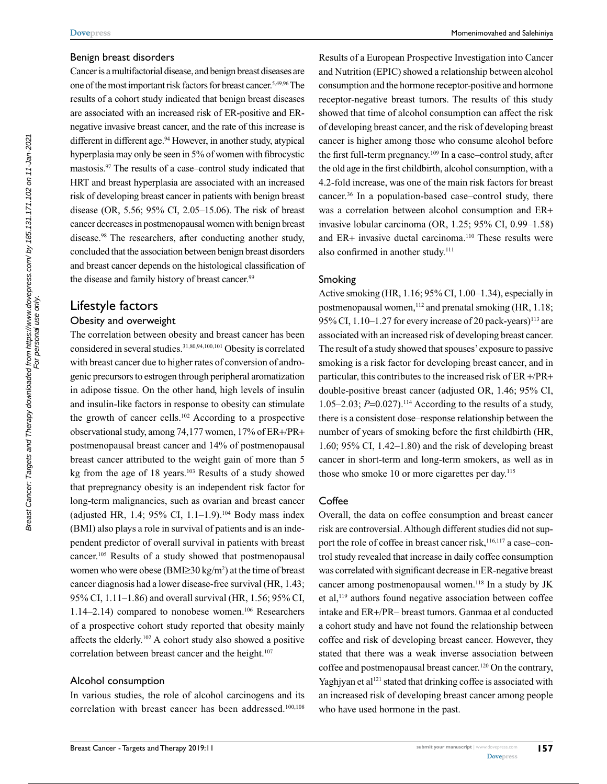#### Benign breast disorders

Cancer is a multifactorial disease, and benign breast diseases are one of the most important risk factors for breast cancer.5,49,96 The results of a cohort study indicated that benign breast diseases are associated with an increased risk of ER-positive and ERnegative invasive breast cancer, and the rate of this increase is different in different age.<sup>94</sup> However, in another study, atypical hyperplasia may only be seen in 5% of women with fibrocystic mastosis.97 The results of a case–control study indicated that HRT and breast hyperplasia are associated with an increased risk of developing breast cancer in patients with benign breast disease (OR, 5.56; 95% CI, 2.05–15.06). The risk of breast cancer decreases in postmenopausal women with benign breast disease.98 The researchers, after conducting another study, concluded that the association between benign breast disorders and breast cancer depends on the histological classification of the disease and family history of breast cancer.<sup>99</sup>

## Lifestyle factors

## Obesity and overweight

The correlation between obesity and breast cancer has been considered in several studies.<sup>31,80,94,100,101</sup> Obesity is correlated with breast cancer due to higher rates of conversion of androgenic precursors to estrogen through peripheral aromatization in adipose tissue. On the other hand, high levels of insulin and insulin-like factors in response to obesity can stimulate the growth of cancer cells.102 According to a prospective observational study, among 74,177 women, 17% of ER+/PR+ postmenopausal breast cancer and 14% of postmenopausal breast cancer attributed to the weight gain of more than 5 kg from the age of 18 years.103 Results of a study showed that prepregnancy obesity is an independent risk factor for long-term malignancies, such as ovarian and breast cancer (adjusted HR, 1.4; 95% CI, 1.1–1.9).<sup>104</sup> Body mass index (BMI) also plays a role in survival of patients and is an independent predictor of overall survival in patients with breast cancer.105 Results of a study showed that postmenopausal women who were obese (BMI≥30 kg/m<sup>2</sup>) at the time of breast cancer diagnosis had a lower disease-free survival (HR, 1.43; 95% CI, 1.11–1.86) and overall survival (HR, 1.56; 95% CI, 1.14–2.14) compared to nonobese women.<sup>106</sup> Researchers of a prospective cohort study reported that obesity mainly affects the elderly.102 A cohort study also showed a positive correlation between breast cancer and the height.<sup>107</sup>

#### Alcohol consumption

In various studies, the role of alcohol carcinogens and its correlation with breast cancer has been addressed.<sup>100,108</sup>

Results of a European Prospective Investigation into Cancer and Nutrition (EPIC) showed a relationship between alcohol consumption and the hormone receptor-positive and hormone receptor-negative breast tumors. The results of this study showed that time of alcohol consumption can affect the risk of developing breast cancer, and the risk of developing breast cancer is higher among those who consume alcohol before the first full-term pregnancy.109 In a case–control study, after the old age in the first childbirth, alcohol consumption, with a 4.2-fold increase, was one of the main risk factors for breast cancer.36 In a population-based case–control study, there was a correlation between alcohol consumption and ER+ invasive lobular carcinoma (OR, 1.25; 95% CI, 0.99–1.58) and ER+ invasive ductal carcinoma.110 These results were also confirmed in another study.<sup>111</sup>

#### Smoking

Active smoking (HR, 1.16; 95% CI, 1.00–1.34), especially in postmenopausal women,  $112$  and prenatal smoking (HR, 1.18; 95% CI,  $1.10-1.27$  for every increase of 20 pack-years)<sup>113</sup> are associated with an increased risk of developing breast cancer. The result of a study showed that spouses' exposure to passive smoking is a risk factor for developing breast cancer, and in particular, this contributes to the increased risk of ER +/PR+ double-positive breast cancer (adjusted OR, 1.46; 95% CI, 1.05–2.03;  $P=0.027$ ).<sup>114</sup> According to the results of a study, there is a consistent dose–response relationship between the number of years of smoking before the first childbirth (HR, 1.60; 95% CI, 1.42–1.80) and the risk of developing breast cancer in short-term and long-term smokers, as well as in those who smoke 10 or more cigarettes per day.<sup>115</sup>

#### Coffee

Overall, the data on coffee consumption and breast cancer risk are controversial. Although different studies did not support the role of coffee in breast cancer risk,<sup>116,117</sup> a case–control study revealed that increase in daily coffee consumption was correlated with significant decrease in ER-negative breast cancer among postmenopausal women.<sup>118</sup> In a study by JK et al,119 authors found negative association between coffee intake and ER+/PR– breast tumors. Ganmaa et al conducted a cohort study and have not found the relationship between coffee and risk of developing breast cancer. However, they stated that there was a weak inverse association between coffee and postmenopausal breast cancer.120 On the contrary, Yaghjyan et al<sup>121</sup> stated that drinking coffee is associated with an increased risk of developing breast cancer among people who have used hormone in the past.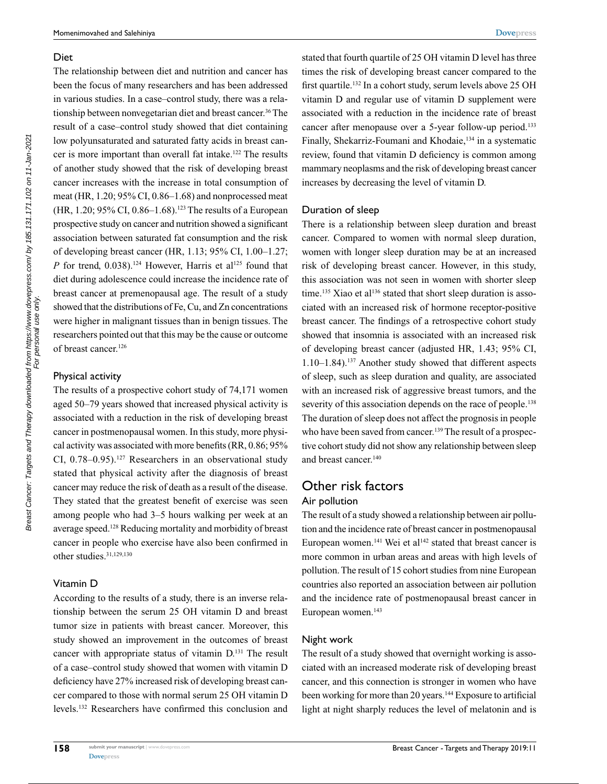#### Diet

The relationship between diet and nutrition and cancer has been the focus of many researchers and has been addressed in various studies. In a case–control study, there was a relationship between nonvegetarian diet and breast cancer.<sup>36</sup> The result of a case–control study showed that diet containing low polyunsaturated and saturated fatty acids in breast cancer is more important than overall fat intake.<sup>122</sup> The results of another study showed that the risk of developing breast cancer increases with the increase in total consumption of meat (HR, 1.20; 95% CI, 0.86–1.68) and nonprocessed meat (HR, 1.20; 95% CI, 0.86–1.68).<sup>123</sup> The results of a European prospective study on cancer and nutrition showed a significant association between saturated fat consumption and the risk of developing breast cancer (HR, 1.13; 95% CI, 1.00–1.27; *P* for trend, 0.038).<sup>124</sup> However, Harris et al<sup>125</sup> found that diet during adolescence could increase the incidence rate of breast cancer at premenopausal age. The result of a study showed that the distributions of Fe, Cu, and Zn concentrations were higher in malignant tissues than in benign tissues. The researchers pointed out that this may be the cause or outcome of breast cancer.<sup>126</sup>

#### Physical activity

Breast Cancer: Targets and Therapy downloaded from https://www.dovepress.com/ by 185.131.171.102 on 11-Jan-2021<br>For personal use only Breast Cancer: Targets and Therapy downloaded from https://www.dovepress.com/ by 185.131.171.102 on 11-Jan-2021 For personal use only.

The results of a prospective cohort study of 74,171 women aged 50–79 years showed that increased physical activity is associated with a reduction in the risk of developing breast cancer in postmenopausal women. In this study, more physical activity was associated with more benefits (RR, 0.86; 95% CI,  $0.78-0.95$ ).<sup>127</sup> Researchers in an observational study stated that physical activity after the diagnosis of breast cancer may reduce the risk of death as a result of the disease. They stated that the greatest benefit of exercise was seen among people who had 3–5 hours walking per week at an average speed.128 Reducing mortality and morbidity of breast cancer in people who exercise have also been confirmed in other studies.31,129,130

## Vitamin D

According to the results of a study, there is an inverse relationship between the serum 25 OH vitamin D and breast tumor size in patients with breast cancer. Moreover, this study showed an improvement in the outcomes of breast cancer with appropriate status of vitamin D.131 The result of a case–control study showed that women with vitamin D deficiency have 27% increased risk of developing breast cancer compared to those with normal serum 25 OH vitamin D levels.132 Researchers have confirmed this conclusion and stated that fourth quartile of 25 OH vitamin D level has three times the risk of developing breast cancer compared to the first quartile.132 In a cohort study, serum levels above 25 OH vitamin D and regular use of vitamin D supplement were associated with a reduction in the incidence rate of breast cancer after menopause over a 5-year follow-up period.<sup>133</sup> Finally, Shekarriz-Foumani and Khodaie,<sup>134</sup> in a systematic review, found that vitamin D deficiency is common among mammary neoplasms and the risk of developing breast cancer increases by decreasing the level of vitamin D.

## Duration of sleep

There is a relationship between sleep duration and breast cancer. Compared to women with normal sleep duration, women with longer sleep duration may be at an increased risk of developing breast cancer. However, in this study, this association was not seen in women with shorter sleep time.<sup>135</sup> Xiao et al<sup>136</sup> stated that short sleep duration is associated with an increased risk of hormone receptor-positive breast cancer. The findings of a retrospective cohort study showed that insomnia is associated with an increased risk of developing breast cancer (adjusted HR, 1.43; 95% CI, 1.10–1.84).137 Another study showed that different aspects of sleep, such as sleep duration and quality, are associated with an increased risk of aggressive breast tumors, and the severity of this association depends on the race of people.<sup>138</sup> The duration of sleep does not affect the prognosis in people who have been saved from cancer.<sup>139</sup> The result of a prospective cohort study did not show any relationship between sleep and breast cancer.140

# Other risk factors

## Air pollution

The result of a study showed a relationship between air pollution and the incidence rate of breast cancer in postmenopausal European women.<sup>141</sup> Wei et al<sup>142</sup> stated that breast cancer is more common in urban areas and areas with high levels of pollution. The result of 15 cohort studies from nine European countries also reported an association between air pollution and the incidence rate of postmenopausal breast cancer in European women.<sup>143</sup>

#### Night work

The result of a study showed that overnight working is associated with an increased moderate risk of developing breast cancer, and this connection is stronger in women who have been working for more than 20 years.<sup>144</sup> Exposure to artificial light at night sharply reduces the level of melatonin and is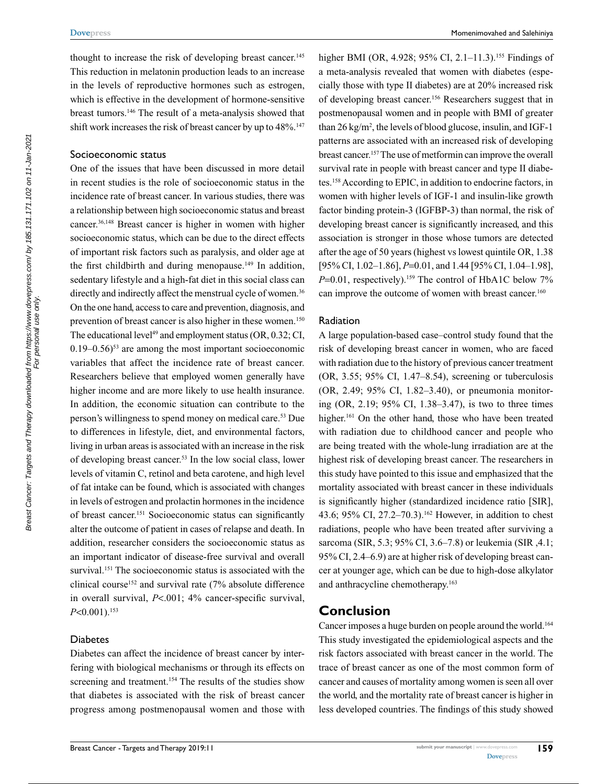thought to increase the risk of developing breast cancer.<sup>145</sup> This reduction in melatonin production leads to an increase in the levels of reproductive hormones such as estrogen, which is effective in the development of hormone-sensitive breast tumors.146 The result of a meta-analysis showed that shift work increases the risk of breast cancer by up to 48%.<sup>147</sup>

#### Socioeconomic status

One of the issues that have been discussed in more detail in recent studies is the role of socioeconomic status in the incidence rate of breast cancer. In various studies, there was a relationship between high socioeconomic status and breast cancer.36,148 Breast cancer is higher in women with higher socioeconomic status, which can be due to the direct effects of important risk factors such as paralysis, and older age at the first childbirth and during menopause.<sup>149</sup> In addition, sedentary lifestyle and a high-fat diet in this social class can directly and indirectly affect the menstrual cycle of women.<sup>36</sup> On the one hand, access to care and prevention, diagnosis, and prevention of breast cancer is also higher in these women.<sup>150</sup> The educational level<sup>49</sup> and employment status (OR,  $0.32$ ; CI,  $0.19-0.56$ <sup>53</sup> are among the most important socioeconomic variables that affect the incidence rate of breast cancer. Researchers believe that employed women generally have higher income and are more likely to use health insurance. In addition, the economic situation can contribute to the person's willingness to spend money on medical care.53 Due to differences in lifestyle, diet, and environmental factors, living in urban areas is associated with an increase in the risk of developing breast cancer.<sup>53</sup> In the low social class, lower levels of vitamin C, retinol and beta carotene, and high level of fat intake can be found, which is associated with changes in levels of estrogen and prolactin hormones in the incidence of breast cancer.151 Socioeconomic status can significantly alter the outcome of patient in cases of relapse and death. In addition, researcher considers the socioeconomic status as an important indicator of disease-free survival and overall survival.<sup>151</sup> The socioeconomic status is associated with the clinical course<sup>152</sup> and survival rate  $(7\%$  absolute difference in overall survival, *P*<.001; 4% cancer-specific survival, *P*<0.001).153

#### Diabetes

Diabetes can affect the incidence of breast cancer by interfering with biological mechanisms or through its effects on screening and treatment.<sup>154</sup> The results of the studies show that diabetes is associated with the risk of breast cancer progress among postmenopausal women and those with higher BMI (OR, 4.928; 95% CI, 2.1–11.3).<sup>155</sup> Findings of a meta-analysis revealed that women with diabetes (especially those with type II diabetes) are at 20% increased risk of developing breast cancer.156 Researchers suggest that in postmenopausal women and in people with BMI of greater than 26 kg/m<sup>2</sup>, the levels of blood glucose, insulin, and IGF-1 patterns are associated with an increased risk of developing breast cancer.157 The use of metformin can improve the overall survival rate in people with breast cancer and type II diabetes.158 According to EPIC, in addition to endocrine factors, in women with higher levels of IGF-1 and insulin-like growth factor binding protein-3 (IGFBP-3) than normal, the risk of developing breast cancer is significantly increased, and this association is stronger in those whose tumors are detected after the age of 50 years (highest vs lowest quintile OR, 1.38 [95% CI, 1.02–1.86], *P*=0.01, and 1.44 [95% CI, 1.04–1.98],  $P=0.01$ , respectively).<sup>159</sup> The control of HbA1C below 7% can improve the outcome of women with breast cancer.<sup>160</sup>

#### Radiation

A large population-based case–control study found that the risk of developing breast cancer in women, who are faced with radiation due to the history of previous cancer treatment (OR, 3.55; 95% CI, 1.47–8.54), screening or tuberculosis (OR, 2.49; 95% CI, 1.82–3.40), or pneumonia monitoring (OR, 2.19; 95% CI, 1.38–3.47), is two to three times higher.<sup>161</sup> On the other hand, those who have been treated with radiation due to childhood cancer and people who are being treated with the whole-lung irradiation are at the highest risk of developing breast cancer. The researchers in this study have pointed to this issue and emphasized that the mortality associated with breast cancer in these individuals is significantly higher (standardized incidence ratio [SIR], 43.6; 95% CI, 27.2–70.3).162 However, in addition to chest radiations, people who have been treated after surviving a sarcoma (SIR, 5.3; 95% CI, 3.6–7.8) or leukemia (SIR ,4.1; 95% CI, 2.4–6.9) are at higher risk of developing breast cancer at younger age, which can be due to high-dose alkylator and anthracycline chemotherapy.163

## **Conclusion**

Cancer imposes a huge burden on people around the world.164 This study investigated the epidemiological aspects and the risk factors associated with breast cancer in the world. The trace of breast cancer as one of the most common form of cancer and causes of mortality among women is seen all over the world, and the mortality rate of breast cancer is higher in less developed countries. The findings of this study showed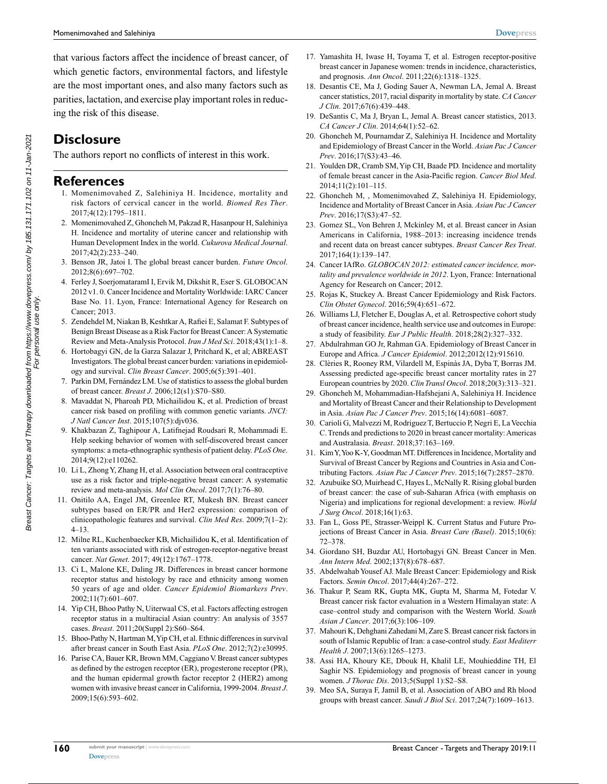that various factors affect the incidence of breast cancer, of which genetic factors, environmental factors, and lifestyle are the most important ones, and also many factors such as parities, lactation, and exercise play important roles in reducing the risk of this disease.

# **Disclosure**

The authors report no conflicts of interest in this work.

## **References**

- 1. Momenimovahed Z, Salehiniya H. Incidence, mortality and risk factors of cervical cancer in the world. *Biomed Res Ther*. 2017;4(12):1795–1811.
- 2. Momenimovahed Z, Ghoncheh M, Pakzad R, Hasanpour H, Salehiniya H. Incidence and mortality of uterine cancer and relationship with Human Development Index in the world. *Cukurova Medical Journal*. 2017;42(2):233–240.
- 3. Benson JR, Jatoi I. The global breast cancer burden. *Future Oncol*. 2012;8(6):697–702.
- 4. Ferley J, SoerjomataramI I, Ervik M, Dikshit R, Eser S. GLOBOCAN 2012 v1. 0. Cancer Incidence and Mortality Worldwide: IARC Cancer Base No. 11. Lyon, France: International Agency for Research on Cancer; 2013.
- 5. Zendehdel M, Niakan B, Keshtkar A, Rafiei E, Salamat F. Subtypes of Benign Breast Disease as a Risk Factor for Breast Cancer: A Systematic Review and Meta-Analysis Protocol. *Iran J Med Sci*. 2018;43(1):1–8.
- 6. Hortobagyi GN, de la Garza Salazar J, Pritchard K, et al; ABREAST Investigators. The global breast cancer burden: variations in epidemiology and survival. *Clin Breast Cancer*. 2005;6(5):391–401.
- 7. Parkin DM, Fernández LM. Use of statistics to assess the global burden of breast cancer. *Breast J*. 2006;12(s1):S70–S80.
- 8. Mavaddat N, Pharoah PD, Michailidou K, et al. Prediction of breast cancer risk based on profiling with common genetic variants. *JNCI: J Natl Cancer Inst*. 2015;107(5):djv036.
- 9. Khakbazan Z, Taghipour A, Latifnejad Roudsari R, Mohammadi E. Help seeking behavior of women with self-discovered breast cancer symptoms: a meta-ethnographic synthesis of patient delay. *PLoS One*. 2014;9(12):e110262.
- 10. Li L, Zhong Y, Zhang H, et al. Association between oral contraceptive use as a risk factor and triple-negative breast cancer: A systematic review and meta-analysis. *Mol Clin Oncol*. 2017;7(1):76–80.
- 11. Onitilo AA, Engel JM, Greenlee RT, Mukesh BN. Breast cancer subtypes based on ER/PR and Her2 expression: comparison of clinicopathologic features and survival. *Clin Med Res*. 2009;7(1–2): 4–13.
- 12. Milne RL, Kuchenbaecker KB, Michailidou K, et al. Identification of ten variants associated with risk of estrogen-receptor-negative breast cancer. *Nat Genet*. 2017; 49(12):1767–1778.
- 13. Ci L, Malone KE, Daling JR. Differences in breast cancer hormone receptor status and histology by race and ethnicity among women 50 years of age and older. *Cancer Epidemiol Biomarkers Prev*. 2002;11(7):601–607.
- 14. Yip CH, Bhoo Pathy N, Uiterwaal CS, et al. Factors affecting estrogen receptor status in a multiracial Asian country: An analysis of 3557 cases. *Breast*. 2011;20(Suppl 2):S60–S64.
- 15. Bhoo-Pathy N, Hartman M, Yip CH, et al. Ethnic differences in survival after breast cancer in South East Asia. *PLoS One*. 2012;7(2):e30995.
- 16. Parise CA, Bauer KR, Brown MM, Caggiano V. Breast cancer subtypes as defined by the estrogen receptor (ER), progesterone receptor (PR), and the human epidermal growth factor receptor 2 (HER2) among women with invasive breast cancer in California, 1999-2004. *Breast J*. 2009;15(6):593–602.
- 17. Yamashita H, Iwase H, Toyama T, et al. Estrogen receptor-positive breast cancer in Japanese women: trends in incidence, characteristics, and prognosis. *Ann Oncol*. 2011;22(6):1318–1325.
- 18. Desantis CE, Ma J, Goding Sauer A, Newman LA, Jemal A. Breast cancer statistics, 2017, racial disparity in mortality by state. *CA Cancer J Clin*. 2017;67(6):439–448.
- 19. DeSantis C, Ma J, Bryan L, Jemal A. Breast cancer statistics, 2013. *CA Cancer J Clin*. 2014;64(1):52–62.
- 20. Ghoncheh M, Pournamdar Z, Salehiniya H. Incidence and Mortality and Epidemiology of Breast Cancer in the World. *Asian Pac J Cancer Prev*. 2016;17(S3):43–46.
- 21. Youlden DR, Cramb SM, Yip CH, Baade PD. Incidence and mortality of female breast cancer in the Asia-Pacific region. *Cancer Biol Med*. 2014;11(2):101–115.
- 22. Ghoncheh M, , Momenimovahed Z, Salehiniya H. Epidemiology, Incidence and Mortality of Breast Cancer in Asia. *Asian Pac J Cancer Prev*. 2016;17(S3):47–52.
- 23. Gomez SL, Von Behren J, Mckinley M, et al. Breast cancer in Asian Americans in California, 1988–2013: increasing incidence trends and recent data on breast cancer subtypes. *Breast Cancer Res Treat*. 2017;164(1):139–147.
- 24. Cancer IAfRo. *GLOBOCAN 2012: estimated cancer incidence, mortality and prevalence worldwide in 2012*. Lyon, France: International Agency for Research on Cancer; 2012.
- 25. Rojas K, Stuckey A. Breast Cancer Epidemiology and Risk Factors. *Clin Obstet Gynecol*. 2016;59(4):651–672.
- 26. Williams LJ, Fletcher E, Douglas A, et al. Retrospective cohort study of breast cancer incidence, health service use and outcomes in Europe: a study of feasibility. *Eur J Public Health*. 2018;28(2):327–332.
- 27. Abdulrahman GO Jr, Rahman GA. Epidemiology of Breast Cancer in Europe and Africa. *J Cancer Epidemiol*. 2012;2012(12):915610.
- 28. Clèries R, Rooney RM, Vilardell M, Espinàs JA, Dyba T, Borras JM. Assessing predicted age-specific breast cancer mortality rates in 27 European countries by 2020. *Clin Transl Oncol*. 2018;20(3):313–321.
- 29. Ghoncheh M, Mohammadian-Hafshejani A, Salehiniya H. Incidence and Mortality of Breast Cancer and their Relationship to Development in Asia. *Asian Pac J Cancer Prev*. 2015;16(14):6081–6087.
- 30. Carioli G, Malvezzi M, Rodriguez T, Bertuccio P, Negri E, La Vecchia C. Trends and predictions to 2020 in breast cancer mortality: Americas and Australasia. *Breast*. 2018;37:163–169.
- 31. Kim Y, Yoo K-Y, Goodman MT. Differences in Incidence, Mortality and Survival of Breast Cancer by Regions and Countries in Asia and Contributing Factors. *Asian Pac J Cancer Prev*. 2015;16(7):2857–2870.
- 32. Azubuike SO, Muirhead C, Hayes L, McNally R. Rising global burden of breast cancer: the case of sub-Saharan Africa (with emphasis on Nigeria) and implications for regional development: a review. *World J Surg Oncol*. 2018;16(1):63.
- 33. Fan L, Goss PE, Strasser-Weippl K. Current Status and Future Projections of Breast Cancer in Asia. *Breast Care (Basel)*. 2015;10(6): 72–378.
- 34. Giordano SH, Buzdar AU, Hortobagyi GN. Breast Cancer in Men. *Ann Intern Med*. 2002;137(8):678–687.
- 35. Abdelwahab Yousef AJ. Male Breast Cancer: Epidemiology and Risk Factors. *Semin Oncol*. 2017;44(4):267–272.
- 36. Thakur P, Seam RK, Gupta MK, Gupta M, Sharma M, Fotedar V. Breast cancer risk factor evaluation in a Western Himalayan state: A case–control study and comparison with the Western World. *South Asian J Cancer*. 2017;6(3):106–109.
- 37. Mahouri K, Dehghani Zahedani M, Zare S. Breast cancer risk factors in south of Islamic Republic of Iran: a case-control study. *East Mediterr Health J*. 2007;13(6):1265–1273.
- 38. Assi HA, Khoury KE, Dbouk H, Khalil LE, Mouhieddine TH, El Saghir NS. Epidemiology and prognosis of breast cancer in young women. *J Thorac Dis*. 2013;5(Suppl 1):S2–S8.
- 39. Meo SA, Suraya F, Jamil B, et al. Association of ABO and Rh blood groups with breast cancer. *Saudi J Biol Sci*. 2017;24(7):1609–1613.

**160**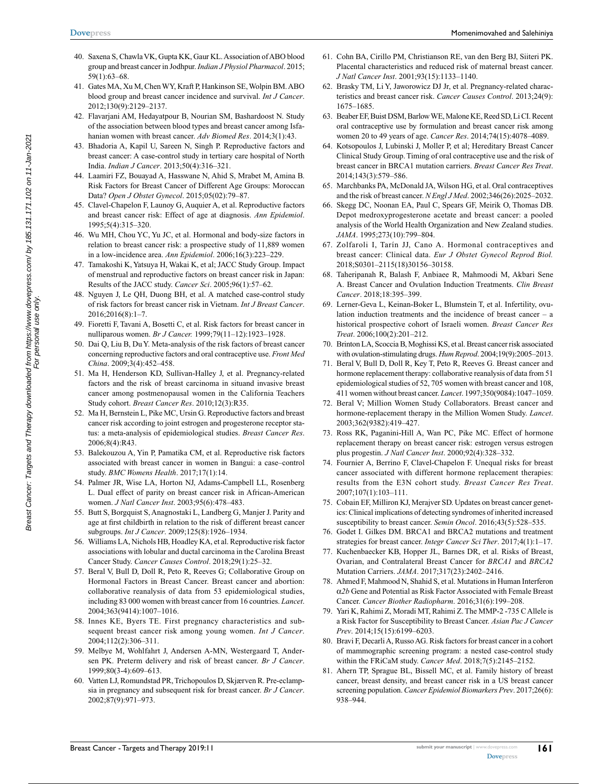- 40. Saxena S, Chawla VK, Gupta KK, Gaur KL. Association of ABO blood group and breast cancer in Jodhpur. *Indian J Physiol Pharmacol*. 2015; 59(1):63–68.
- 41. Gates MA, Xu M, Chen WY, Kraft P, Hankinson SE, Wolpin BM. ABO blood group and breast cancer incidence and survival. *Int J Cancer*. 2012;130(9):2129–2137.
- 42. Flavarjani AM, Hedayatpour B, Nourian SM, Bashardoost N. Study of the association between blood types and breast cancer among Isfahanian women with breast cancer. *Adv Biomed Res*. 2014;3(1):43.
- 43. Bhadoria A, Kapil U, Sareen N, Singh P. Reproductive factors and breast cancer: A case-control study in tertiary care hospital of North India. *Indian J Cancer*. 2013;50(4):316–321.
- 44. Laamiri FZ, Bouayad A, Hasswane N, Ahid S, Mrabet M, Amina B. Risk Factors for Breast Cancer of Different Age Groups: Moroccan Data? *Open J Obstet Gynecol*. 2015;05(02):79–87.
- 45. Clavel-Chapelon F, Launoy G, Auquier A, et al. Reproductive factors and breast cancer risk: Effect of age at diagnosis. *Ann Epidemiol*. 1995;5(4):315–320.
- 46. Wu MH, Chou YC, Yu JC, et al. Hormonal and body-size factors in relation to breast cancer risk: a prospective study of 11,889 women in a low-incidence area. *Ann Epidemiol*. 2006;16(3):223–229.
- 47. Tamakoshi K, Yatsuya H, Wakai K, et al; JACC Study Group. Impact of menstrual and reproductive factors on breast cancer risk in Japan: Results of the JACC study. *Cancer Sci*. 2005;96(1):57–62.
- 48. Nguyen J, Le QH, Duong BH, et al. A matched case-control study of risk factors for breast cancer risk in Vietnam. *Int J Breast Cancer*. 2016;2016(8):1–7.
- 49. Fioretti F, Tavani A, Bosetti C, et al. Risk factors for breast cancer in nulliparous women. *Br J Cancer.* 1999;79(11–12):1923–1928.
- 50. Dai Q, Liu B, Du Y. Meta-analysis of the risk factors of breast cancer concerning reproductive factors and oral contraceptive use. *Front Med China*. 2009;3(4):452–458.
- 51. Ma H, Henderson KD, Sullivan-Halley J, et al. Pregnancy-related factors and the risk of breast carcinoma in situand invasive breast cancer among postmenopausal women in the California Teachers Study cohort. *Breast Cancer Res*. 2010;12(3):R35.
- 52. Ma H, Bernstein L, Pike MC, Ursin G. Reproductive factors and breast cancer risk according to joint estrogen and progesterone receptor status: a meta-analysis of epidemiological studies. *Breast Cancer Res*. 2006;8(4):R43.
- 53. Balekouzou A, Yin P, Pamatika CM, et al. Reproductive risk factors associated with breast cancer in women in Bangui: a case–control study. *BMC Womens Health*. 2017;17(1):14.
- 54. Palmer JR, Wise LA, Horton NJ, Adams-Campbell LL, Rosenberg L. Dual effect of parity on breast cancer risk in African-American women. *J Natl Cancer Inst*. 2003;95(6):478–483.
- 55. Butt S, Borgquist S, Anagnostaki L, Landberg G, Manjer J. Parity and age at first childbirth in relation to the risk of different breast cancer subgroups. *Int J Cancer*. 2009;125(8):1926–1934.
- 56. Williams LA, Nichols HB, Hoadley KA, et al. Reproductive risk factor associations with lobular and ductal carcinoma in the Carolina Breast Cancer Study. *Cancer Causes Control*. 2018;29(1):25–32.
- 57. Beral V, Bull D, Doll R, Peto R, Reeves G; Collaborative Group on Hormonal Factors in Breast Cancer. Breast cancer and abortion: collaborative reanalysis of data from 53 epidemiological studies, including 83 000 women with breast cancer from 16 countries. *Lancet*. 2004;363(9414):1007–1016.
- 58. Innes KE, Byers TE. First pregnancy characteristics and subsequent breast cancer risk among young women. *Int J Cancer*. 2004;112(2):306–311.
- 59. Melbye M, Wohlfahrt J, Andersen A-MN, Westergaard T, Andersen PK. Preterm delivery and risk of breast cancer. *Br J Cancer*. 1999;80(3-4):609–613.
- 60. Vatten LJ, Romundstad PR, Trichopoulos D, Skjærven R. Pre-eclampsia in pregnancy and subsequent risk for breast cancer. *Br J Cancer*. 2002;87(9):971–973.
- 61. Cohn BA, Cirillo PM, Christianson RE, van den Berg BJ, Siiteri PK. Placental characteristics and reduced risk of maternal breast cancer. *J Natl Cancer Inst*. 2001;93(15):1133–1140.
- 62. Brasky TM, Li Y, Jaworowicz DJ Jr, et al. Pregnancy-related characteristics and breast cancer risk. *Cancer Causes Control*. 2013;24(9): 1675–1685.
- 63. Beaber EF, Buist DSM, Barlow WE, Malone KE, Reed SD, Li CI. Recent oral contraceptive use by formulation and breast cancer risk among women 20 to 49 years of age. *Cancer Res*. 2014;74(15):4078–4089.
- 64. Kotsopoulos J, Lubinski J, Moller P, et al; Hereditary Breast Cancer Clinical Study Group. Timing of oral contraceptive use and the risk of breast cancer in BRCA1 mutation carriers. *Breast Cancer Res Treat*. 2014;143(3):579–586.
- 65. Marchbanks PA, McDonald JA, Wilson HG, et al. Oral contraceptives and the risk of breast cancer. *N Engl J Med*. 2002;346(26):2025–2032.
- 66. Skegg DC, Noonan EA, Paul C, Spears GF, Meirik O, Thomas DB. Depot medroxyprogesterone acetate and breast cancer: a pooled analysis of the World Health Organization and New Zealand studies. *JAMA*. 1995;273(10):799–804.
- 67. Zolfaroli I, Tarín JJ, Cano A. Hormonal contraceptives and breast cancer: Clinical data. *Eur J Obstet Gynecol Reprod Biol.*  2018;S0301–2115(18)30156–30158.
- 68. Taheripanah R, Balash F, Anbiaee R, Mahmoodi M, Akbari Sene A. Breast Cancer and Ovulation Induction Treatments. *Clin Breast Cancer*. 2018;18:395–399.
- 69. Lerner-Geva L, Keinan-Boker L, Blumstein T, et al. Infertility, ovulation induction treatments and the incidence of breast cancer – a historical prospective cohort of Israeli women. *Breast Cancer Res Treat*. 2006;100(2):201–212.
- 70. Brinton LA, Scoccia B, Moghissi KS, et al. Breast cancer risk associated with ovulation-stimulating drugs. *Hum Reprod*. 2004;19(9):2005–2013.
- 71. Beral V, Bull D, Doll R, Key T, Peto R, Reeves G. Breast cancer and hormone replacement therapy: collaborative reanalysis of data from 51 epidemiological studies of 52, 705 women with breast cancer and 108, 411 women without breast cancer. *Lancet*. 1997;350(9084):1047–1059.
- 72. Beral V; Million Women Study Collaborators. Breast cancer and hormone-replacement therapy in the Million Women Study. *Lancet*. 2003;362(9382):419–427.
- 73. Ross RK, Paganini-Hill A, Wan PC, Pike MC. Effect of hormone replacement therapy on breast cancer risk: estrogen versus estrogen plus progestin. *J Natl Cancer Inst*. 2000;92(4):328–332.
- 74. Fournier A, Berrino F, Clavel-Chapelon F. Unequal risks for breast cancer associated with different hormone replacement therapies: results from the E3N cohort study. *Breast Cancer Res Treat*. 2007;107(1):103–111.
- 75. Cobain EF, Milliron KJ, Merajver SD. Updates on breast cancer genetics: Clinical implications of detecting syndromes of inherited increased susceptibility to breast cancer. *Semin Oncol*. 2016;43(5):528–535.
- 76. Godet I. Gilkes DM. BRCA1 and BRCA2 mutations and treatment strategies for breast cancer. *Integr Cancer Sci Ther*. 2017;4(1):1–17.
- 77. Kuchenbaecker KB, Hopper JL, Barnes DR, et al. Risks of Breast, Ovarian, and Contralateral Breast Cancer for *BRCA1* and *BRCA2* Mutation Carriers. *JAMA*. 2017;317(23):2402–2416.
- 78. Ahmed F, Mahmood N, Shahid S, et al. Mutations in Human Interferon α*2b* Gene and Potential as Risk Factor Associated with Female Breast Cancer. *Cancer Biother Radiopharm*. 2016;31(6):199–208.
- 79. Yari K, Rahimi Z, Moradi MT, Rahimi Z. The MMP-2 -735 C Allele is a Risk Factor for Susceptibility to Breast Cancer. *Asian Pac J Cancer Prev*. 2014;15(15):6199–6203.
- 80. Bravi F, Decarli A, Russo AG. Risk factors for breast cancer in a cohort of mammographic screening program: a nested case-control study within the FRiCaM study. *Cancer Med*. 2018;7(5):2145–2152.
- 81. Ahern TP, Sprague BL, Bissell MC, et al. Family history of breast cancer, breast density, and breast cancer risk in a US breast cancer screening population. *Cancer Epidemiol Biomarkers Prev*. 2017;26(6): 938–944.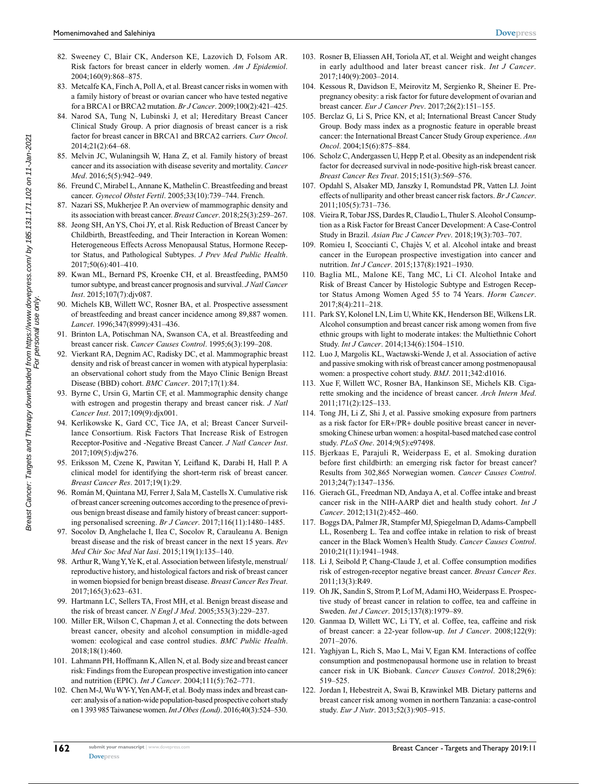- 82. Sweeney C, Blair CK, Anderson KE, Lazovich D, Folsom AR. Risk factors for breast cancer in elderly women. *Am J Epidemiol*. 2004;160(9):868–875.
- 83. Metcalfe KA, Finch A, Poll A, et al. Breast cancer risks in women with a family history of breast or ovarian cancer who have tested negative for a BRCA1 or BRCA2 mutation. *Br J Cancer*. 2009;100(2):421–425.
- 84. Narod SA, Tung N, Lubinski J, et al; Hereditary Breast Cancer Clinical Study Group. A prior diagnosis of breast cancer is a risk factor for breast cancer in BRCA1 and BRCA2 carriers. *Curr Oncol*. 2014;21(2):64–68.
- 85. Melvin JC, Wulaningsih W, Hana Z, et al. Family history of breast cancer and its association with disease severity and mortality. *Cancer Med*. 2016;5(5):942–949.
- 86. Freund C, Mirabel L, Annane K, Mathelin C. Breastfeeding and breast cancer. *Gynecol Obstet Fertil*. 2005;33(10):739–744. French.
- 87. Nazari SS, Mukherjee P. An overview of mammographic density and its association with breast cancer. *Breast Cancer*. 2018;25(3):259–267.
- 88. Jeong SH, An YS, Choi JY, et al. Risk Reduction of Breast Cancer by Childbirth, Breastfeeding, and Their Interaction in Korean Women: Heterogeneous Effects Across Menopausal Status, Hormone Receptor Status, and Pathological Subtypes. *J Prev Med Public Health*.  $2017:50(6)$ :401-410
- 89. Kwan ML, Bernard PS, Kroenke CH, et al. Breastfeeding, PAM50 tumor subtype, and breast cancer prognosis and survival. *J Natl Cancer Inst*. 2015;107(7):djv087.
- 90. Michels KB, Willett WC, Rosner BA, et al. Prospective assessment of breastfeeding and breast cancer incidence among 89,887 women. *Lancet*. 1996;347(8999):431–436.
- 91. Brinton LA, Potischman NA, Swanson CA, et al. Breastfeeding and breast cancer risk. *Cancer Causes Control*. 1995;6(3):199–208.
- 92. Vierkant RA, Degnim AC, Radisky DC, et al. Mammographic breast density and risk of breast cancer in women with atypical hyperplasia: an observational cohort study from the Mayo Clinic Benign Breast Disease (BBD) cohort. *BMC Cancer*. 2017;17(1):84.
- 93. Byrne C, Ursin G, Martin CF, et al. Mammographic density change with estrogen and progestin therapy and breast cancer risk. *J Natl Cancer Inst*. 2017;109(9):djx001.
- 94. Kerlikowske K, Gard CC, Tice JA, et al; Breast Cancer Surveillance Consortium. Risk Factors That Increase Risk of Estrogen Receptor-Positive and -Negative Breast Cancer. *J Natl Cancer Inst*. 2017;109(5):djw276.
- 95. Eriksson M, Czene K, Pawitan Y, Leifland K, Darabi H, Hall P. A clinical model for identifying the short-term risk of breast cancer. *Breast Cancer Res*. 2017;19(1):29.
- 96. Román M, Quintana MJ, Ferrer J, Sala M, Castells X. Cumulative risk of breast cancer screening outcomes according to the presence of previous benign breast disease and family history of breast cancer: supporting personalised screening. *Br J Cancer*. 2017;116(11):1480–1485.
- 97. Socolov D, Anghelache I, Ilea C, Socolov R, Carauleanu A. Benign breast disease and the risk of breast cancer in the next 15 years. *Rev Med Chir Soc Med Nat Iasi*. 2015;119(1):135–140.
- 98. Arthur R, Wang Y, Ye K, et al. Association between lifestyle, menstrual/ reproductive history, and histological factors and risk of breast cancer in women biopsied for benign breast disease. *Breast Cancer Res Treat*. 2017;165(3):623–631.
- 99. Hartmann LC, Sellers TA, Frost MH, et al. Benign breast disease and the risk of breast cancer. *N Engl J Med*. 2005;353(3):229–237.
- 100. Miller ER, Wilson C, Chapman J, et al. Connecting the dots between breast cancer, obesity and alcohol consumption in middle-aged women: ecological and case control studies. *BMC Public Health*. 2018;18(1):460.
- 101. Lahmann PH, Hoffmann K, Allen N, et al. Body size and breast cancer risk: Findings from the European prospective investigation into cancer and nutrition (EPIC). *Int J Cancer*. 2004;111(5):762–771.
- 102. Chen M-J, Wu WY-Y, Yen AM-F, et al. Body mass index and breast cancer: analysis of a nation-wide population-based prospective cohort study on 1 393 985 Taiwanese women. *Int J Obes (Lond)*. 2016;40(3):524–530.
- 103. Rosner B, Eliassen AH, Toriola AT, et al. Weight and weight changes in early adulthood and later breast cancer risk. *Int J Cancer*. 2017;140(9):2003–2014.
- 104. Kessous R, Davidson E, Meirovitz M, Sergienko R, Sheiner E. Prepregnancy obesity: a risk factor for future development of ovarian and breast cancer. *Eur J Cancer Prev*. 2017;26(2):151–155.
- 105. Berclaz G, Li S, Price KN, et al; International Breast Cancer Study Group. Body mass index as a prognostic feature in operable breast cancer: the International Breast Cancer Study Group experience. *Ann Oncol*. 2004;15(6):875–884.
- 106. Scholz C, Andergassen U, Hepp P, et al. Obesity as an independent risk factor for decreased survival in node-positive high-risk breast cancer. *Breast Cancer Res Treat*. 2015;151(3):569–576.
- 107. Opdahl S, Alsaker MD, Janszky I, Romundstad PR, Vatten LJ. Joint effects of nulliparity and other breast cancer risk factors. *Br J Cancer*. 2011;105(5):731–736.
- 108. Vieira R, Tobar JSS, Dardes R, Claudio L, Thuler S. Alcohol Consumption as a Risk Factor for Breast Cancer Development: A Case-Control Study in Brazil. *Asian Pac J Cancer Prev*. 2018;19(3):703–707.
- 109. Romieu I, Scoccianti C, Chajès V, et al. Alcohol intake and breast cancer in the European prospective investigation into cancer and nutrition. *Int J Cancer*. 2015;137(8):1921–1930.
- 110. Baglia ML, Malone KE, Tang MC, Li CI. Alcohol Intake and Risk of Breast Cancer by Histologic Subtype and Estrogen Receptor Status Among Women Aged 55 to 74 Years. *Horm Cancer*. 2017;8(4):211–218.
- 111. Park SY, Kolonel LN, Lim U, White KK, Henderson BE, Wilkens LR. Alcohol consumption and breast cancer risk among women from five ethnic groups with light to moderate intakes: the Multiethnic Cohort Study. *Int J Cancer*. 2014;134(6):1504–1510.
- 112. Luo J, Margolis KL, Wactawski-Wende J, et al. Association of active and passive smoking with risk of breast cancer among postmenopausal women: a prospective cohort study. *BMJ*. 2011;342:d1016.
- 113. Xue F, Willett WC, Rosner BA, Hankinson SE, Michels KB. Cigarette smoking and the incidence of breast cancer. *Arch Intern Med*. 2011;171(2):125–133.
- 114. Tong JH, Li Z, Shi J, et al. Passive smoking exposure from partners as a risk factor for ER+/PR+ double positive breast cancer in neversmoking Chinese urban women: a hospital-based matched case control study. *PLoS One*. 2014;9(5):e97498.
- 115. Bjerkaas E, Parajuli R, Weiderpass E, et al. Smoking duration before first childbirth: an emerging risk factor for breast cancer? Results from 302,865 Norwegian women. *Cancer Causes Control*. 2013;24(7):1347–1356.
- 116. Gierach GL, Freedman ND, Andaya A, et al. Coffee intake and breast cancer risk in the NIH-AARP diet and health study cohort. *Int J Cancer*. 2012;131(2):452–460.
- 117. Boggs DA, Palmer JR, Stampfer MJ, Spiegelman D, Adams-Campbell LL, Rosenberg L. Tea and coffee intake in relation to risk of breast cancer in the Black Women's Health Study. *Cancer Causes Control*. 2010;21(11):1941–1948.
- 118. Li J, Seibold P, Chang-Claude J, et al. Coffee consumption modifies risk of estrogen-receptor negative breast cancer. *Breast Cancer Res*. 2011;13(3):R49.
- 119. Oh JK, Sandin S, Strom P, Lof M, Adami HO, Weiderpass E. Prospective study of breast cancer in relation to coffee, tea and caffeine in Sweden. *Int J Cancer*. 2015;137(8):1979–89.
- 120. Ganmaa D, Willett WC, Li TY, et al. Coffee, tea, caffeine and risk of breast cancer: a 22-year follow-up. *Int J Cancer*. 2008;122(9): 2071–2076.
- 121. Yaghjyan L, Rich S, Mao L, Mai V, Egan KM. Interactions of coffee consumption and postmenopausal hormone use in relation to breast cancer risk in UK Biobank. *Cancer Causes Control*. 2018;29(6): 519–525.
- 122. Jordan I, Hebestreit A, Swai B, Krawinkel MB. Dietary patterns and breast cancer risk among women in northern Tanzania: a case-control study. *Eur J Nutr*. 2013;52(3):905–915.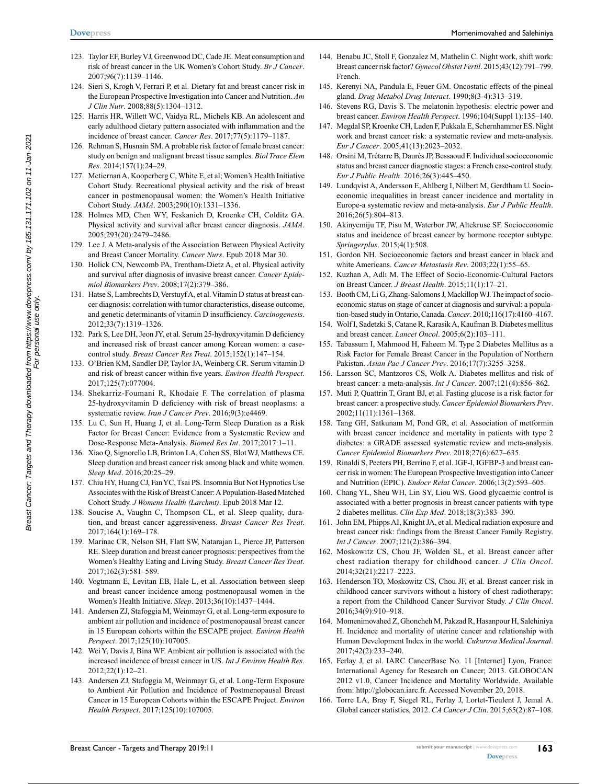- 123. Taylor EF, Burley VJ, Greenwood DC, Cade JE. Meat consumption and risk of breast cancer in the UK Women's Cohort Study. *Br J Cancer*. 2007;96(7):1139–1146.
- 124. Sieri S, Krogh V, Ferrari P, et al. Dietary fat and breast cancer risk in the European Prospective Investigation into Cancer and Nutrition. *Am J Clin Nutr*. 2008;88(5):1304–1312.
- 125. Harris HR, Willett WC, Vaidya RL, Michels KB. An adolescent and early adulthood dietary pattern associated with inflammation and the incidence of breast cancer. *Cancer Res*. 2017;77(5):1179–1187.
- 126. Rehman S, Husnain SM. A probable risk factor of female breast cancer: study on benign and malignant breast tissue samples. *Biol Trace Elem Res*. 2014;157(1):24–29.
- 127. Mctiernan A, Kooperberg C, White E, et al; Women's Health Initiative Cohort Study. Recreational physical activity and the risk of breast cancer in postmenopausal women: the Women's Health Initiative Cohort Study. *JAMA*. 2003;290(10):1331–1336.
- 128. Holmes MD, Chen WY, Feskanich D, Kroenke CH, Colditz GA. Physical activity and survival after breast cancer diagnosis. *JAMA*. 2005;293(20):2479–2486.
- 129. Lee J. A Meta-analysis of the Association Between Physical Activity and Breast Cancer Mortality. *Cancer Nurs*. Epub 2018 Mar 30.
- 130. Holick CN, Newcomb PA, Trentham-Dietz A, et al. Physical activity and survival after diagnosis of invasive breast cancer. *Cancer Epidemiol Biomarkers Prev*. 2008;17(2):379–386.
- 131. Hatse S, Lambrechts D, Verstuyf A, et al. Vitamin D status at breast cancer diagnosis: correlation with tumor characteristics, disease outcome, and genetic determinants of vitamin D insufficiency. *Carcinogenesis*. 2012;33(7):1319–1326.
- 132. Park S, Lee DH, Jeon JY, et al. Serum 25-hydroxyvitamin D deficiency and increased risk of breast cancer among Korean women: a casecontrol study. *Breast Cancer Res Treat*. 2015;152(1):147–154.
- 133. O'Brien KM, Sandler DP, Taylor JA, Weinberg CR. Serum vitamin D and risk of breast cancer within five years. *Environ Health Perspect*. 2017;125(7):077004.
- 134. Shekarriz-Foumani R, Khodaie F. The correlation of plasma 25-hydroxyvitamin D deficiency with risk of breast neoplasms: a systematic review. *Iran J Cancer Prev*. 2016;9(3):e4469.
- 135. Lu C, Sun H, Huang J, et al. Long-Term Sleep Duration as a Risk Factor for Breast Cancer: Evidence from a Systematic Review and Dose-Response Meta-Analysis. *Biomed Res Int*. 2017;2017:1–11.
- 136. Xiao Q, Signorello LB, Brinton LA, Cohen SS, Blot WJ, Matthews CE. Sleep duration and breast cancer risk among black and white women. *Sleep Med*. 2016;20:25–29.
- 137. Chiu HY, Huang CJ, Fan YC, Tsai PS. Insomnia But Not Hypnotics Use Associates with the Risk of Breast Cancer: A Population-Based Matched Cohort Study. *J Womens Health (Larchmt)*. Epub 2018 Mar 12.
- 138. Soucise A, Vaughn C, Thompson CL, et al. Sleep quality, duration, and breast cancer aggressiveness. *Breast Cancer Res Treat*. 2017;164(1):169–178.
- 139. Marinac CR, Nelson SH, Flatt SW, Natarajan L, Pierce JP, Patterson RE. Sleep duration and breast cancer prognosis: perspectives from the Women's Healthy Eating and Living Study. *Breast Cancer Res Treat*. 2017;162(3):581–589.
- 140. Vogtmann E, Levitan EB, Hale L, et al. Association between sleep and breast cancer incidence among postmenopausal women in the Women's Health Initiative. *Sleep*. 2013;36(10):1437–1444.
- 141. Andersen ZJ, Stafoggia M, Weinmayr G, et al. Long-term exposure to ambient air pollution and incidence of postmenopausal breast cancer in 15 European cohorts within the ESCAPE project. *Environ Health Perspect*. 2017;125(10):107005.
- 142. Wei Y, Davis J, Bina WF. Ambient air pollution is associated with the increased incidence of breast cancer in US. *Int J Environ Health Res*. 2012;22(1):12–21.
- 143. Andersen ZJ, Stafoggia M, Weinmayr G, et al. Long-Term Exposure to Ambient Air Pollution and Incidence of Postmenopausal Breast Cancer in 15 European Cohorts within the ESCAPE Project. *Environ Health Perspect*. 2017;125(10):107005.
- 144. Benabu JC, Stoll F, Gonzalez M, Mathelin C. Night work, shift work: Breast cancer risk factor? *Gynecol Obstet Fertil*. 2015;43(12):791–799. French.
- 145. Kerenyi NA, Pandula E, Feuer GM. Oncostatic effects of the pineal gland. *Drug Metabol Drug Interact*. 1990;8(3-4):313–319.
- 146. Stevens RG, Davis S. The melatonin hypothesis: electric power and breast cancer. *Environ Health Perspect*. 1996;104(Suppl 1):135–140.
- 147. Megdal SP, Kroenke CH, Laden F, Pukkala E, Schernhammer ES. Night work and breast cancer risk: a systematic review and meta-analysis. *Eur J Cancer*. 2005;41(13):2023–2032.
- 148. Orsini M, Trétarre B, Daurès JP, Bessaoud F. Individual socioeconomic status and breast cancer diagnostic stages: a French case-control study. *Eur J Public Health*. 2016;26(3):445–450.
- 149. Lundqvist A, Andersson E, Ahlberg I, Nilbert M, Gerdtham U. Socioeconomic inequalities in breast cancer incidence and mortality in Europe-a systematic review and meta-analysis. *Eur J Public Health*. 2016;26(5):804–813.
- 150. Akinyemiju TF, Pisu M, Waterbor JW, Altekruse SF. Socioeconomic status and incidence of breast cancer by hormone receptor subtype. *Springerplus*. 2015;4(1):508.
- 151. Gordon NH. Socioeconomic factors and breast cancer in black and white Americans. *Cancer Metastasis Rev*. 2003;22(1):55–65.
- 152. Kuzhan A, Adlı M. The Effect of Socio-Economic-Cultural Factors on Breast Cancer. *J Breast Health*. 2015;11(1):17–21.
- 153. Booth CM, Li G, Zhang-Salomons J, Mackillop WJ. The impact of socioeconomic status on stage of cancer at diagnosis and survival: a population-based study in Ontario, Canada. *Cancer*. 2010;116(17):4160–4167.
- 154. Wolf I, Sadetzki S, Catane R, Karasik A, Kaufman B. Diabetes mellitus and breast cancer. *Lancet Oncol*. 2005;6(2):103–111.
- 155. Tabassum I, Mahmood H, Faheem M. Type 2 Diabetes Mellitus as a Risk Factor for Female Breast Cancer in the Population of Northern Pakistan. *Asian Pac J Cancer Prev*. 2016;17(7):3255–3258.
- 156. Larsson SC, Mantzoros CS, Wolk A. Diabetes mellitus and risk of breast cancer: a meta-analysis. *Int J Cancer*. 2007;121(4):856–862.
- 157. Muti P, Quattrin T, Grant BJ, et al. Fasting glucose is a risk factor for breast cancer: a prospective study. *Cancer Epidemiol Biomarkers Prev*. 2002;11(11):1361–1368.
- 158. Tang GH, Satkunam M, Pond GR, et al. Association of metformin with breast cancer incidence and mortality in patients with type 2 diabetes: a GRADE assessed systematic review and meta-analysis. *Cancer Epidemiol Biomarkers Prev*. 2018;27(6):627–635.
- 159. Rinaldi S, Peeters PH, Berrino F, et al. IGF-I, IGFBP-3 and breast cancer risk in women: The European Prospective Investigation into Cancer and Nutrition (EPIC). *Endocr Relat Cancer*. 2006;13(2):593–605.
- 160. Chang YL, Sheu WH, Lin SY, Liou WS. Good glycaemic control is associated with a better prognosis in breast cancer patients with type 2 diabetes mellitus. *Clin Exp Med*. 2018;18(3):383–390.
- 161. John EM, Phipps AI, Knight JA, et al. Medical radiation exposure and breast cancer risk: findings from the Breast Cancer Family Registry. *Int J Cancer*. 2007;121(2):386–394.
- 162. Moskowitz CS, Chou JF, Wolden SL, et al. Breast cancer after chest radiation therapy for childhood cancer. *J Clin Oncol*. 2014;32(21):2217–2223.
- 163. Henderson TO, Moskowitz CS, Chou JF, et al. Breast cancer risk in childhood cancer survivors without a history of chest radiotherapy: a report from the Childhood Cancer Survivor Study. *J Clin Oncol*. 2016;34(9):910–918.
- 164. Momenimovahed Z, Ghoncheh M, Pakzad R, Hasanpour H, Salehiniya H. Incidence and mortality of uterine cancer and relationship with Human Development Index in the world. *Cukurova Medical Journal*. 2017;42(2):233–240.
- 165. Ferlay J, et al. IARC CancerBase No. 11 [Internet] Lyon, France: International Agency for Research on Cancer; 2013. GLOBOCAN 2012 v1.0, Cancer Incidence and Mortality Worldwide. Available from: [http://globocan.iarc.fr.](http://globocan.iarc.fr) Accessed November 20, 2018.
- 166. Torre LA, Bray F, Siegel RL, Ferlay J, Lortet-Tieulent J, Jemal A. Global cancer statistics, 2012. *CA Cancer J Clin*. 2015;65(2):87–108.